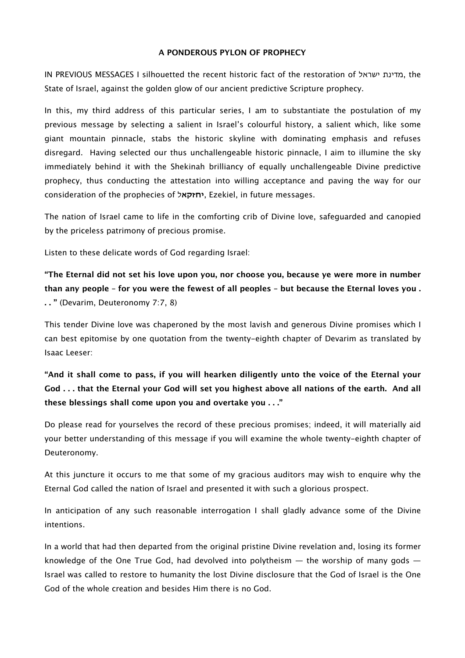#### **A PONDEROUS PYLON OF PROPHECY**

IN PREVIOUS MESSAGES I silhouetted the recent historic fact of the restoration of ישראל מדינת, the State of Israel, against the golden glow of our ancient predictive Scripture prophecy.

In this, my third address of this particular series, I am to substantiate the postulation of my previous message by selecting a salient in Israel's colourful history, a salient which, like some giant mountain pinnacle, stabs the historic skyline with dominating emphasis and refuses disregard. Having selected our thus unchallengeable historic pinnacle, I aim to illumine the sky immediately behind it with the Shekinah brilliancy of equally unchallengeable Divine predictive prophecy, thus conducting the attestation into willing acceptance and paving the way for our consideration of the prophecies of **יחזקא**ל, Ezekiel, in future messages.

The nation of Israel came to life in the comforting crib of Divine love, safeguarded and canopied by the priceless patrimony of precious promise.

Listen to these delicate words of God regarding Israel:

**"The Eternal did not set his love upon you, nor choose you, because ye were more in number than any people – for you were the fewest of all peoples – but because the Eternal loves you . . . "** (Devarim, Deuteronomy 7:7, 8)

This tender Divine love was chaperoned by the most lavish and generous Divine promises which I can best epitomise by one quotation from the twenty-eighth chapter of Devarim as translated by Isaac Leeser:

**"And it shall come to pass, if you will hearken diligently unto the voice of the Eternal your God . . . that the Eternal your God will set you highest above all nations of the earth. And all these blessings shall come upon you and overtake you . . ."**

Do please read for yourselves the record of these precious promises; indeed, it will materially aid your better understanding of this message if you will examine the whole twenty-eighth chapter of Deuteronomy.

At this juncture it occurs to me that some of my gracious auditors may wish to enquire why the Eternal God called the nation of Israel and presented it with such a glorious prospect.

In anticipation of any such reasonable interrogation I shall gladly advance some of the Divine intentions.

In a world that had then departed from the original pristine Divine revelation and, losing its former knowledge of the One True God, had devolved into polytheism  $-$  the worship of many gods  $-$ Israel was called to restore to humanity the lost Divine disclosure that the God of Israel is the One God of the whole creation and besides Him there is no God.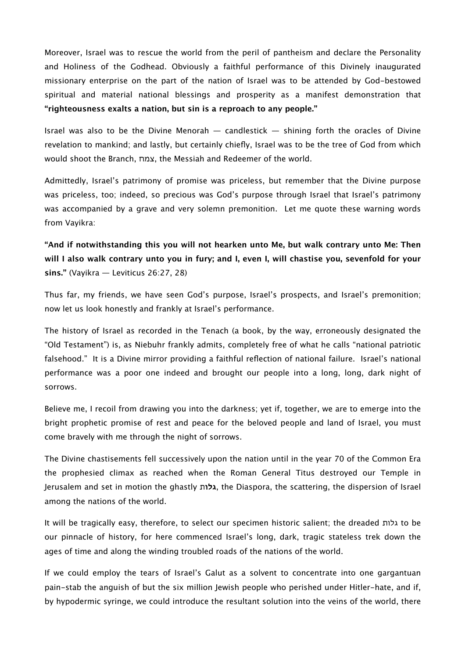Moreover, Israel was to rescue the world from the peril of pantheism and declare the Personality and Holiness of the Godhead. Obviously a faithful performance of this Divinely inaugurated missionary enterprise on the part of the nation of Israel was to be attended by God-bestowed spiritual and material national blessings and prosperity as a manifest demonstration that **"righteousness exalts a nation, but sin is a reproach to any people."**

Israel was also to be the Divine Menorah  $-$  candlestick  $-$  shining forth the oracles of Divine revelation to mankind; and lastly, but certainly chiefly, Israel was to be the tree of God from which would shoot the Branch, צמח, the Messiah and Redeemer of the world.

Admittedly, Israel's patrimony of promise was priceless, but remember that the Divine purpose was priceless, too; indeed, so precious was God's purpose through Israel that Israel's patrimony was accompanied by a grave and very solemn premonition. Let me quote these warning words from Vayikra:

# **"And if notwithstanding this you will not hearken unto Me, but walk contrary unto Me: Then will I also walk contrary unto you in fury; and I, even I, will chastise you, sevenfold for your sins."** (Vayikra — Leviticus 26:27, 28)

Thus far, my friends, we have seen God's purpose, Israel's prospects, and Israel's premonition; now let us look honestly and frankly at Israel's performance.

The history of Israel as recorded in the Tenach (a book, by the way, erroneously designated the "Old Testament") is, as Niebuhr frankly admits, completely free of what he calls "national patriotic falsehood." It is a Divine mirror providing a faithful reflection of national failure. Israel's national performance was a poor one indeed and brought our people into a long, long, dark night of sorrows.

Believe me, I recoil from drawing you into the darkness; yet if, together, we are to emerge into the bright prophetic promise of rest and peace for the beloved people and land of Israel, you must come bravely with me through the night of sorrows.

The Divine chastisements fell successively upon the nation until in the year 70 of the Common Era the prophesied climax as reached when the Roman General Titus destroyed our Temple in Jerusalem and set in motion the ghastly **גלו**ת, the Diaspora, the scattering, the dispersion of Israel among the nations of the world.

It will be tragically easy, therefore, to select our specimen historic salient; the dreaded גלות to be our pinnacle of history, for here commenced Israel's long, dark, tragic stateless trek down the ages of time and along the winding troubled roads of the nations of the world.

If we could employ the tears of Israel's Galut as a solvent to concentrate into one gargantuan pain-stab the anguish of but the six million Jewish people who perished under Hitler-hate, and if, by hypodermic syringe, we could introduce the resultant solution into the veins of the world, there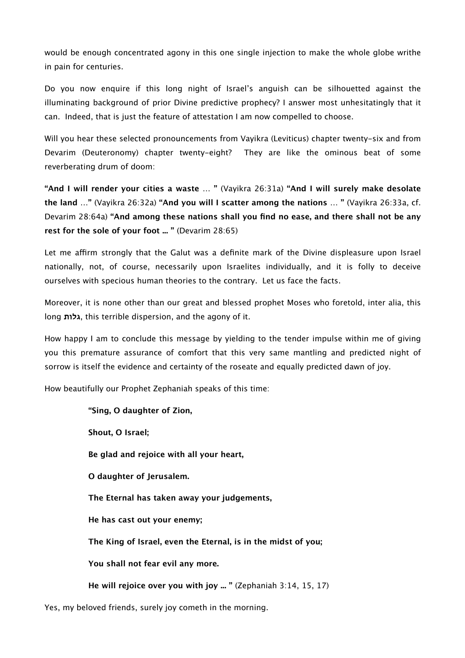would be enough concentrated agony in this one single injection to make the whole globe writhe in pain for centuries.

Do you now enquire if this long night of Israel's anguish can be silhouetted against the illuminating background of prior Divine predictive prophecy? I answer most unhesitatingly that it can. Indeed, that is just the feature of attestation I am now compelled to choose.

Will you hear these selected pronouncements from Vayikra (Leviticus) chapter twenty-six and from Devarim (Deuteronomy) chapter twenty-eight? They are like the ominous beat of some reverberating drum of doom:

**"And I will render your cities a waste … "** (Vayikra 26:31a) **"And I will surely make desolate the land …"** (Vayikra 26:32a) **"And you will I scatter among the nations … "** (Vayikra 26:33a, cf. Devarim 28:64a) **"And among these nations shall you find no ease, and there shall not be any rest for the sole of your foot ... "** (Devarim 28:65)

Let me affirm strongly that the Galut was a definite mark of the Divine displeasure upon Israel nationally, not, of course, necessarily upon Israelites individually, and it is folly to deceive ourselves with specious human theories to the contrary. Let us face the facts.

Moreover, it is none other than our great and blessed prophet Moses who foretold, inter alia, this long **גלות**, this terrible dispersion, and the agony of it.

How happy I am to conclude this message by yielding to the tender impulse within me of giving you this premature assurance of comfort that this very same mantling and predicted night of sorrow is itself the evidence and certainty of the roseate and equally predicted dawn of joy.

How beautifully our Prophet Zephaniah speaks of this time:

**"Sing, O daughter of Zion, Shout, O Israel; Be glad and rejoice with all your heart, O daughter of Jerusalem. The Eternal has taken away your judgements, He has cast out your enemy; The King of Israel, even the Eternal, is in the midst of you; You shall not fear evil any more. He will rejoice over you with joy ... "** (Zephaniah 3:14, 15, 17)

Yes, my beloved friends, surely joy cometh in the morning.